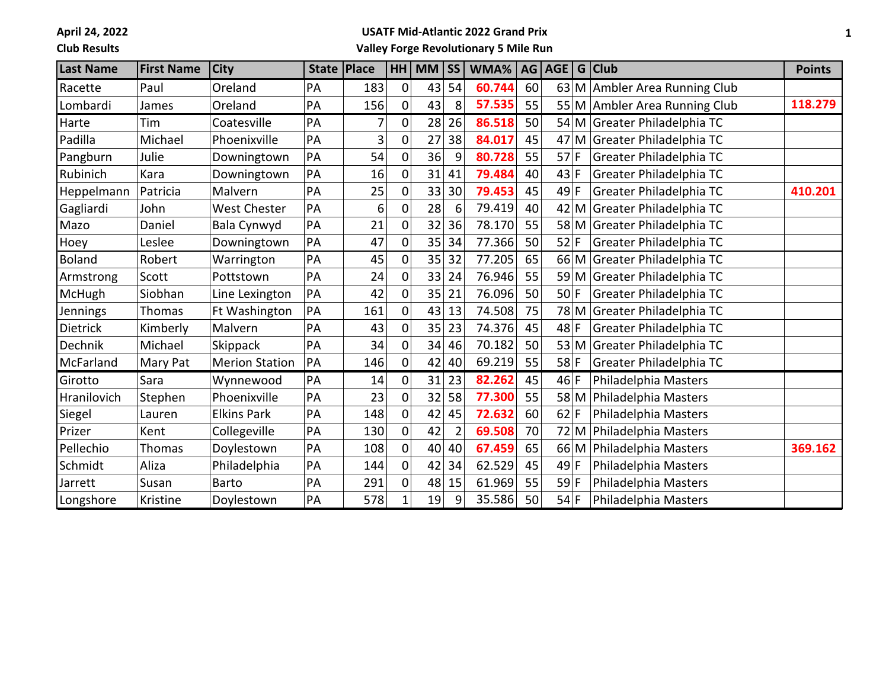**April 24, 2022**

## **Club Results**

## **USATF Mid-Atlantic 2022 Grand Prix**

**Valley Forge Revolutionary 5 Mile Run**

| <b>Last Name</b> | <b>First Name</b> | <b>City</b>           | State   Place |     | HH             | $MM$ SS |    | WMA%   | <b>AG</b> | AGE   G   Club |      |                               | <b>Points</b> |
|------------------|-------------------|-----------------------|---------------|-----|----------------|---------|----|--------|-----------|----------------|------|-------------------------------|---------------|
| Racette          | Paul              | Oreland               | PA            | 183 | 0              | 43      | 54 | 60.744 | 60        |                |      | 63 M Ambler Area Running Club |               |
| Lombardi         | James             | Oreland               | PA            | 156 | $\overline{0}$ | 43      | 8  | 57.535 | 55        |                |      | 55 M Ambler Area Running Club | 118.279       |
| Harte            | Tim               | Coatesville           | PA            | 7   | $\overline{0}$ | 28      | 26 | 86.518 | 50        |                |      | 54 M Greater Philadelphia TC  |               |
| Padilla          | Michael           | Phoenixville          | PA            | 3   | $\overline{0}$ | 27      | 38 | 84.017 | 45        |                |      | 47 M Greater Philadelphia TC  |               |
| Pangburn         | Julie             | Downingtown           | PA            | 54  | 0              | 36      | 9  | 80.728 | 55        | $57$ F         |      | Greater Philadelphia TC       |               |
| Rubinich         | Kara              | Downingtown           | PA            | 16  | 0              | 31      | 41 | 79.484 | 40        | 43 F           |      | Greater Philadelphia TC       |               |
| Heppelmann       | Patricia          | Malvern               | PA            | 25  | 0              | 33      | 30 | 79.453 | 45        | $49$ F         |      | Greater Philadelphia TC       | 410.201       |
| Gagliardi        | John              | <b>West Chester</b>   | PA            | 6   | 0              | 28      | 6  | 79.419 | 40        |                |      | 42 M Greater Philadelphia TC  |               |
| Mazo             | Daniel            | Bala Cynwyd           | PA            | 21  | $\overline{0}$ | 32      | 36 | 78.170 | 55        |                |      | 58 M Greater Philadelphia TC  |               |
| Hoey             | Leslee            | Downingtown           | PA            | 47  | $\mathbf 0$    | 35      | 34 | 77.366 | 50        | 52 F           |      | Greater Philadelphia TC       |               |
| <b>Boland</b>    | Robert            | Warrington            | PA            | 45  | 0              | 35      | 32 | 77.205 | 65        |                |      | 66 M Greater Philadelphia TC  |               |
| Armstrong        | Scott             | Pottstown             | PA            | 24  | 0              | 33      | 24 | 76.946 | 55        |                |      | 59 M Greater Philadelphia TC  |               |
| <b>McHugh</b>    | Siobhan           | Line Lexington        | PA            | 42  | 0              | 35      | 21 | 76.096 | 50        | $50$ F         |      | Greater Philadelphia TC       |               |
| Jennings         | <b>Thomas</b>     | Ft Washington         | PA            | 161 | 0              | 43      | 13 | 74.508 | 75        |                |      | 78 M Greater Philadelphia TC  |               |
| Dietrick         | Kimberly          | Malvern               | PA            | 43  | $\overline{0}$ | 35      | 23 | 74.376 | 45        | $48$ F         |      | Greater Philadelphia TC       |               |
| Dechnik          | Michael           | Skippack              | PA            | 34  | 0              | 34      | 46 | 70.182 | 50        |                |      | 53 M Greater Philadelphia TC  |               |
| McFarland        | Mary Pat          | <b>Merion Station</b> | PA            | 146 | 0              | 42      | 40 | 69.219 | 55        | $58$ F         |      | Greater Philadelphia TC       |               |
| Girotto          | Sara              | Wynnewood             | PA            | 14  | 0              | 31      | 23 | 82.262 | 45        | 46 F           |      | Philadelphia Masters          |               |
| Hranilovich      | Stephen           | Phoenixville          | PA            | 23  | 0              | 32      | 58 | 77.300 | 55        |                | 58 M | Philadelphia Masters          |               |
| Siegel           | Lauren            | <b>Elkins Park</b>    | PA            | 148 | $\Omega$       | 42      | 45 | 72.632 | 60        | $62$ F         |      | Philadelphia Masters          |               |
| Prizer           | Kent              | Collegeville          | PA            | 130 | $\overline{0}$ | 42      |    | 69.508 | 70        |                |      | 72 M Philadelphia Masters     |               |
| Pellechio        | <b>Thomas</b>     | Doylestown            | PA            | 108 | $\overline{0}$ | 40      | 40 | 67.459 | 65        |                |      | 66 M Philadelphia Masters     | 369.162       |
| Schmidt          | Aliza             | Philadelphia          | PA            | 144 | $\Omega$       | 42      | 34 | 62.529 | 45        | $49$ F         |      | Philadelphia Masters          |               |
| Jarrett          | Susan             | Barto                 | PA            | 291 | 0              | 48      | 15 | 61.969 | 55        | $59$ F         |      | Philadelphia Masters          |               |
| Longshore        | Kristine          | Doylestown            | PA            | 578 |                | 19      | 9  | 35.586 | 50        | $54$ F         |      | Philadelphia Masters          |               |